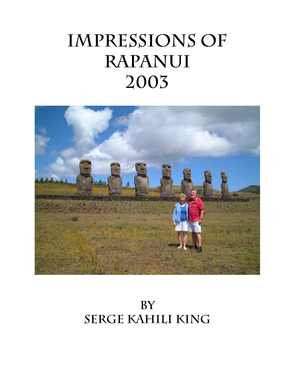# **IMPRESSIONS OF RAPANUI 2003**



**by Serge Kahili King**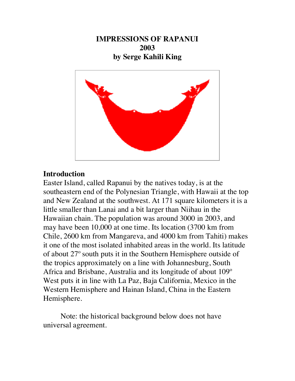**IMPRESSIONS OF RAPANUI 2003 by Serge Kahili King**



## **Introduction**

Easter Island, called Rapanui by the natives today, is at the southeastern end of the Polynesian Triangle, with Hawaii at the top and New Zealand at the southwest. At 171 square kilometers it is a little smaller than Lanai and a bit larger than Niihau in the Hawaiian chain. The population was around 3000 in 2003, and may have been 10,000 at one time. Its location (3700 km from Chile, 2600 km from Mangareva, and 4000 km from Tahiti) makes it one of the most isolated inhabited areas in the world. Its latitude of about 27º south puts it in the Southern Hemisphere outside of the tropics approximately on a line with Johannesburg, South Africa and Brisbane, Australia and its longitude of about 109º West puts it in line with La Paz, Baja California, Mexico in the Western Hemisphere and Hainan Island, China in the Eastern Hemisphere.

Note: the historical background below does not have universal agreement.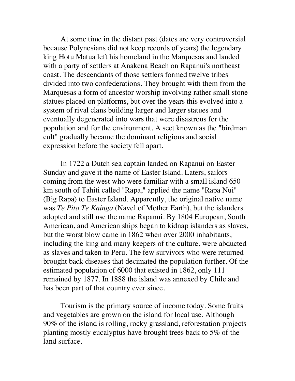At some time in the distant past (dates are very controversial because Polynesians did not keep records of years) the legendary king Hotu Matua left his homeland in the Marquesas and landed with a party of settlers at Anakena Beach on Rapanui's northeast coast. The descendants of those settlers formed twelve tribes divided into two confederations. They brought with them from the Marquesas a form of ancestor worship involving rather small stone statues placed on platforms, but over the years this evolved into a system of rival clans building larger and larger statues and eventually degenerated into wars that were disastrous for the population and for the environment. A sect known as the "birdman cult" gradually became the dominant religious and social expression before the society fell apart.

In 1722 a Dutch sea captain landed on Rapanui on Easter Sunday and gave it the name of Easter Island. Laters, sailors coming from the west who were familiar with a small island 650 km south of Tahiti called "Rapa," applied the name "Rapa Nui" (Big Rapa) to Easter Island. Apparently, the original native name was *Te Pito Te Kainga* (Navel of Mother Earth), but the islanders adopted and still use the name Rapanui. By 1804 European, South American, and American ships began to kidnap islanders as slaves, but the worst blow came in 1862 when over 2000 inhabitants, including the king and many keepers of the culture, were abducted as slaves and taken to Peru. The few survivors who were returned brought back diseases that decimated the population further. Of the estimated population of 6000 that existed in 1862, only 111 remained by 1877. In 1888 the island was annexed by Chile and has been part of that country ever since.

Tourism is the primary source of income today. Some fruits and vegetables are grown on the island for local use. Although 90% of the island is rolling, rocky grassland, reforestation projects planting mostly eucalyptus have brought trees back to 5% of the land surface.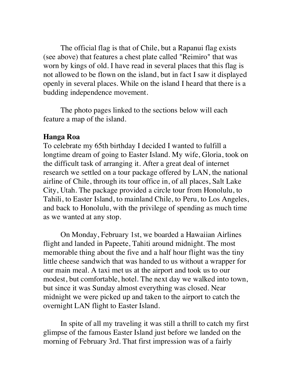The official flag is that of Chile, but a Rapanui flag exists (see above) that features a chest plate called "Reimiro" that was worn by kings of old. I have read in several places that this flag is not allowed to be flown on the island, but in fact I saw it displayed openly in several places. While on the island I heard that there is a budding independence movement.

The photo pages linked to the sections below will each feature a map of the island.

## **Hanga Roa**

To celebrate my 65th birthday I decided I wanted to fulfill a longtime dream of going to Easter Island. My wife, Gloria, took on the difficult task of arranging it. After a great deal of internet research we settled on a tour package offered by LAN, the national airline of Chile, through its tour office in, of all places, Salt Lake City, Utah. The package provided a circle tour from Honolulu, to Tahili, to Easter Island, to mainland Chile, to Peru, to Los Angeles, and back to Honolulu, with the privilege of spending as much time as we wanted at any stop.

On Monday, February 1st, we boarded a Hawaiian Airlines flight and landed in Papeete, Tahiti around midnight. The most memorable thing about the five and a half hour flight was the tiny little cheese sandwich that was handed to us without a wrapper for our main meal. A taxi met us at the airport and took us to our modest, but comfortable, hotel. The next day we walked into town, but since it was Sunday almost everything was closed. Near midnight we were picked up and taken to the airport to catch the overnight LAN flight to Easter Island.

In spite of all my traveling it was still a thrill to catch my first glimpse of the famous Easter Island just before we landed on the morning of February 3rd. That first impression was of a fairly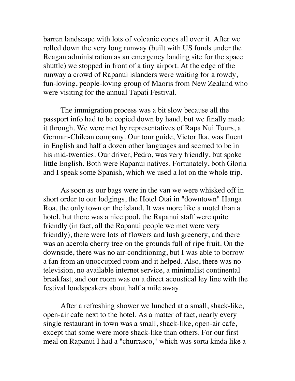barren landscape with lots of volcanic cones all over it. After we rolled down the very long runway (built with US funds under the Reagan administration as an emergency landing site for the space shuttle) we stopped in front of a tiny airport. At the edge of the runway a crowd of Rapanui islanders were waiting for a rowdy, fun-loving, people-loving group of Maoris from New Zealand who were visiting for the annual Tapati Festival.

The immigration process was a bit slow because all the passport info had to be copied down by hand, but we finally made it through. We were met by representatives of Rapa Nui Tours, a German-Chilean company. Our tour guide, Victor Ika, was fluent in English and half a dozen other languages and seemed to be in his mid-twenties. Our driver, Pedro, was very friendly, but spoke little English. Both were Rapanui natives. Fortunately, both Gloria and I speak some Spanish, which we used a lot on the whole trip.

As soon as our bags were in the van we were whisked off in short order to our lodgings, the Hotel Otai in "downtown" Hanga Roa, the only town on the island. It was more like a motel than a hotel, but there was a nice pool, the Rapanui staff were quite friendly (in fact, all the Rapanui people we met were very friendly), there were lots of flowers and lush greenery, and there was an acerola cherry tree on the grounds full of ripe fruit. On the downside, there was no air-conditioning, but I was able to borrow a fan from an unoccupied room and it helped. Also, there was no television, no available internet service, a minimalist continental breakfast, and our room was on a direct acoustical ley line with the festival loudspeakers about half a mile away.

After a refreshing shower we lunched at a small, shack-like, open-air cafe next to the hotel. As a matter of fact, nearly every single restaurant in town was a small, shack-like, open-air cafe, except that some were more shack-like than others. For our first meal on Rapanui I had a "churrasco," which was sorta kinda like a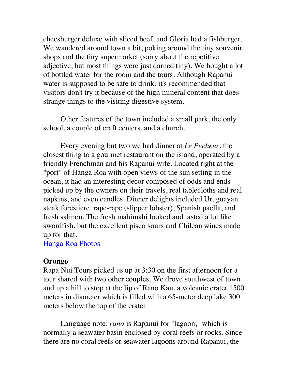cheesburger deluxe with sliced beef, and Gloria had a fishburger. We wandered around town a bit, poking around the tiny souvenir shops and the tiny supermarket (sorry about the r[epetitive](http://www.sergeking.com/Rapanui/hangaroa.html) adjective, but most things were just darned tiny). We bought a lot of bottled water for the room and the tours. Although Rapanui water is supposed to be safe to drink, it's recommended that visitors don't try it because of the high mineral content that does strange things to the visiting digestive system.

Other features of the town included a small park, the only school, a couple of craft centers, and a church.

Every evening but two we had dinner at *Le Pecheur*, the closest thing to a gourmet restaurant on the island, operated by a friendly Frenchman and his Rapanui wife. Located right at the "port" of Hanga Roa with open views of the sun setting in the ocean, it had an interesting decor composed of odds and ends picked up by the owners on their travels, real tablecloths and real napkins, and even candles. Dinner delights included Uruguayan steak forestiere, rape-rape (slipper lobster), Spanish paella, and fresh salmon. The fresh mahimahi looked and tasted a lot like swordfish, but the excellent pisco sours and Chilean wines made up for that.

[Hanga Roa Photos](http://www.sergeking.com/Rapanui/hangaroa.html)

#### **Orongo**

Rapa Nui Tours picked us up at 3:30 on the first afternoon for a tour shared with two other couples. We drove southwest of town and up a hill to stop at the lip of Rano Kau, a volcanic crater 1500 meters in diameter which is filled with a 65-meter deep lake 300 meters below the top of the crater.

Language note: *rano* is Rapanui for "lagoon," which is normally a seawater basin enclosed by coral reefs or rocks. Since there are no coral reefs or seawater lagoons around Rapanui, the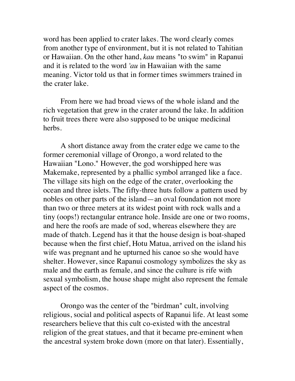word has been applied to crater lakes. The word clearly comes from another type of environment, but it is not related to Tahitian or Hawaiian. On the other hand, *kau* means "to swim" in Rapanui and it is related to the word *'au* in Hawaiian with the same meaning. Victor told us that in former times swimmers trained in the crater lake.

From here we had broad views of the whole island and the rich vegetation that grew in the crater around the lake. In addition to fruit trees there were also supposed to be unique medicinal herbs.

A short distance away from the crater edge we came to the former ceremonial village of Orongo, a word related to the Hawaiian "Lono." However, the god worshipped here was Makemake, represented by a phallic symbol arranged like a face. The village sits high on the edge of the crater, overlooking the ocean and three islets. The fifty-three huts follow a pattern used by nobles on other parts of the island—an oval foundation not more than two or three meters at its widest point with rock walls and a tiny (oops!) rectangular entrance hole. Inside are one or two rooms, and here the roofs are made of sod, whereas elsewhere they are made of thatch. Legend has it that the house design is boat-shaped because when the first chief, Hotu Matua, arrived on the island his wife was pregnant and he upturned his canoe so she would have shelter. However, since Rapanui cosmology symbolizes the sky as male and the earth as female, and since the culture is rife with sexual symbolism, the house shape might also represent the female aspect of the cosmos.

Orongo was the center of the "birdman" cult, involving religious, social and political aspects of Rapanui life. At least some researchers believe that this cult co-existed with the ancestral religion of the great statues, and that it became pre-eminent when the ancestral system broke down (more on that later). Essentially,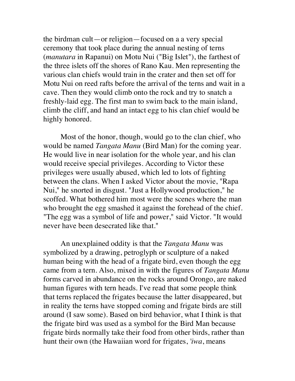the birdman cult—or religion—focused on a a very special ceremony that took place during the annual nesting of terns (*manutara* in Rapanui) on Motu Nui ("Big Islet"), the farthest of the three islets off the shores of Rano Kau. Men representing the various clan chiefs would train in the crater and then set off for Motu Nui on reed rafts before the arrival of the terns and wait in a cave. Then they would climb onto the rock and try to snatch a freshly-laid egg. The first man to swim back to the main island, climb the cliff, and hand an intact egg to his clan chief would be highly honored.

Most of the honor, though, would go to the clan chief, who would be named *Tangata Manu* (Bird Man) for the coming year. He would live in near isolation for the whole year, and his clan would receive special privileges. According to Victor these privileges were usually abused, which led to lots of fighting between the clans. When I asked Victor about the movie, "Rapa Nui," he snorted in disgust. "Just a Hollywood production," he scoffed. What bothered him most were the scenes where the man who brought the egg smashed it against the forehead of the chief. "The egg was a symbol of life and power," said Victor. "It would never have been desecrated like that."

An unexplained oddity is that the *Tangata Manu* was symbolized by a drawing, petroglyph or sculpture of a naked human being with the head of a frigate bird, even though the egg came from a tern. Also, mixed in with the figures of *Tangata Manu* forms carved in abundance on the rocks around Orongo, are naked human figures with tern heads. I've read that some people think that terns replaced the frigates because the latter disappeared, but in reality the terns have stopped coming and frigate birds are still around (I saw some). Based on bird behavior, what I think is that the frigate bird was used as a symbol for the Bird Man because frigate birds normally take their food from other birds, rather than hunt their own (the Hawaiian word for frigates, *'iwa*, means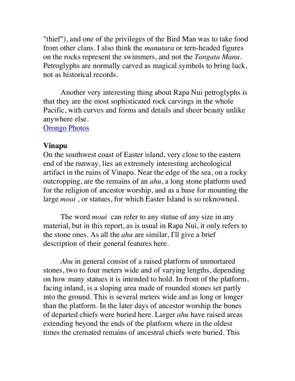"thief"), and one of the privileges of the Bird Man was to take food from other clans. I also think the *manutara* or tern-headed figures on the rocks represent the swimmers, and not the *Tangata Manu*. Petroglyphs are normally carved as magical symbols to bring luck, not as historical records.

Another very interesting thing about Rapa Nui petroglyphs is that they are the most sophisticated rock carvings in the whole Pacific, with curves and forms and details and sheer beauty unlike anywhere else.

**[Orongo Photos](http://www.sergeking.com/Rapanui/orongo.html)** 

#### **Vinapu**

On the southwest coast of Easter island, very close to the eastern end of the runway, lies an extremely interesting archeological artifact in the ruins of Vinapu. Near the edge of the sea, on a rocky outcropping, are the remains of an *ahu*, a long stone platform used for the religion of ancestor worship, and as a base for mounting the large *moai* , or statues, for which Easter Island is so reknowned.

The word *moai* can refer to any statue of any size in any material, but in this report, as is usual in Rapa Nui, it only refers to the stone ones. As all the *ahu* are similar, I'll give a brief description of their general features here.

*Ahu* in general consist of a raised platform of unmortared stones, two to four meters wide and of varying lengths, depending on how many statues it is intended to hold. In front of the platform, facing inland, is a sloping area made of rounded stones set partly into the ground. This is several meters wide and as long or longer than the platform. In the later days of ancestor worship the bones of departed chiefs were buried here. Larger *ahu* have raised areas extending beyond the ends of the platform where in the oldest times the cremated remains of ancestral chiefs were buried. This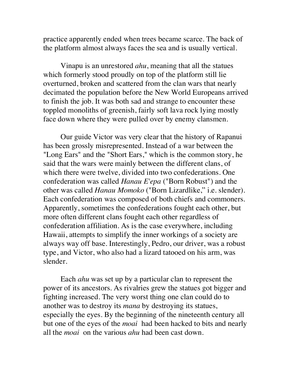practice apparently ended when trees became scarce. The back of the platform almost always faces the sea and is usually vertical.

Vinapu is an unrestored *ahu*, meaning that all the statues which formerly stood proudly on top of the platform still lie overturned, broken and scattered from the clan wars that nearly decimated the population before the New World Europeans arrived to finish the job. It was both sad and strange to encounter these toppled monoliths of greenish, fairly soft lava rock lying mostly face down where they were pulled over by enemy clansmen.

Our guide Victor was very clear that the history of Rapanui has been grossly misrepresented. Instead of a war between the "Long Ears" and the "Short Ears," which is the common story, he said that the wars were mainly between the different clans, of which there were twelve, divided into two confederations. One confederation was called *Hanau E'epa* ("Born Robust") and the other was called *Hanau Momoko* ("Born Lizardlike," i.e. slender). Each confederation was composed of both chiefs and commoners. Apparently, sometimes the confederations fought each other, but more often different clans fought each other regardless of confederation affiliation. As is the case everywhere, including Hawaii, attempts to simplify the inner workings of a society are always way off base. Interestingly, Pedro, our driver, was a robust type, and Victor, who also had a lizard tatooed on his arm, was slender.

Each *ahu* was set up by a particular clan to represent the power of its ancestors. As rivalries grew the statues got bigger and fighting increased. The very worst thing one clan could do to another was to destroy its *mana* by destroying its statues, especially the eyes. By the beginning of the nineteenth century all but one of the eyes of the *moai* had been hacked to bits and nearly all the *moai* on the various *ahu* had been cast down.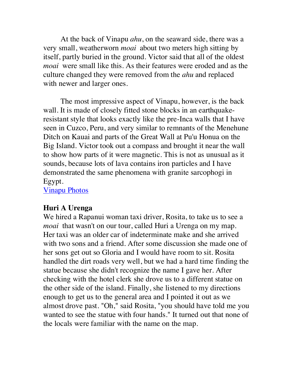At the back of Vinapu *ahu*, on the seaward side, there was a very small, weatherworn *moai* about two meters high sitting by itself, partly buried in the ground. Victor said that all of the oldest *moai* were small like this. As their features were eroded and as the culture changed they were removed from the *ahu* and replaced with newer and larger ones.

The most impressive aspect of Vinapu, however, is the back wall. It is made of closely fitted stone blocks in an earthquakeresistant style that looks exactly like the pre-Inca walls that I have seen in Cuzco, Peru, and very similar to remnants of the Menehune Ditch on Kauai and parts of the Great Wall at Pu'u Honua on the Big Island. Victor took out a compass and brought it near the wall to show how parts of it were magnetic. This is not as unusual as it sounds, because lots of lava contains iron particles and I have demonstrated the same phenomena with granite sarcophogi in Egypt.

[Vinapu Photos](http://www.sergeking.com/Rapanui/vinapu.html)

#### **Huri A Urenga**

We hired a Rapanui woman taxi driver, Rosita, to take us to see a *moai* that wasn't on our tour, called Huri a Urenga on my map. Her taxi was an older car of indeterminate make and she arrived with two sons and a friend. After some discussion she made one of her sons get out so Gloria and I would have room to sit. Rosita handled the dirt roads very well, but we had a hard time finding the statue because she didn't recognize the name I gave her. After checking with the hotel clerk she drove us to a different statue on the other side of the island. Finally, she listened to my directions enough to get us to the general area and I pointed it out as we almost drove past. "Oh," said Rosita, "you should have told me you wanted to see the statue with four hands." It turned out that none of the locals were familiar with the name on the map.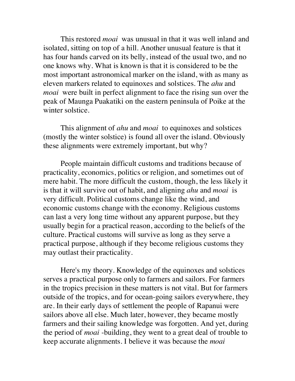This restored *moai* was unusual in that it was well inland and isolated, sitting on top of a hill. Another unusual feature is that it has four hands carved on its belly, instead of the usual two, and no one knows why. What is known is that it is considered to be the most important astronomical marker on the island, with as many as eleven markers related to equinoxes and solstices. The *ahu* and *moai* were built in perfect alignment to face the rising sun over the peak of Maunga Puakatiki on the eastern peninsula of Poike at the winter solstice.

This alignment of *ahu* and *moai* to equinoxes and solstices (mostly the winter solstice) is found all over the island. Obviously these alignments were extremely important, but why?

People maintain difficult customs and traditions because of practicality, economics, politics or religion, and sometimes out of mere habit. The more difficult the custom, though, the less likely it is that it will survive out of habit, and aligning *ahu* and *moai* is very difficult. Political customs change like the wind, and economic customs change with the economy. Religious customs can last a very long time without any apparent purpose, but they usually begin for a practical reason, according to the beliefs of the culture. Practical customs will survive as long as they serve a practical purpose, although if they become religious customs they may outlast their practicality.

Here's my theory. Knowledge of the equinoxes and solstices serves a practical purpose only to farmers and sailors. For farmers in the tropics precision in these matters is not vital. But for farmers outside of the tropics, and for ocean-going sailors everywhere, they are. In their early days of settlement the people of Rapanui were sailors above all else. Much later, however, they became mostly farmers and their sailing knowledge was forgotten. And yet, during the period of *moai* -building, they went to a great deal of trouble to keep accurate alignments. I believe it was because the *moai*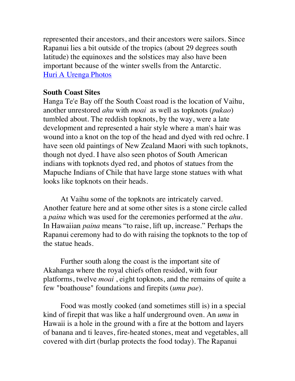represented their ancestors, and their ancestors were sailors. Since Rapanui lies a bit outside of the tropics (about 29 degrees south latitude) the equinoxes and the solstices may also have been important because of the winter swells from the Antarctic. [Huri A Urenga Photos](http://www.sergeking.com/Rapanui/huriarenga.html)

## **South Coast Sites**

Hanga Te'e Bay off the South Coast road is the location of Vaihu, another unrestored *ahu* with *moai* as well as topknots (*pukao*) tumbled about. The reddish topknots, by the way, were a late development and represented a hair style where a man's hair was wound into a knot on the top of the head and dyed with red ochre. I have seen old paintings of New Zealand Maori with such topknots, though not dyed. I have also seen photos of South American indians with topknots dyed red, and photos of statues from the Mapuche Indians of Chile that have large stone statues with what looks like topknots on their heads.

At Vaihu some of the topknots are intricately carved. Another feature here and at some other sites is a stone circle called a *paina* which was used for the ceremonies performed at the *ahu*. In Hawaiian *paina* means "to raise, lift up, increase." Perhaps the Rapanui ceremony had to do with raising the topknots to the top of the statue heads.

Further south along the coast is the important site of Akahanga where the royal chiefs often resided, with four platforms, twelve *moai* , eight topknots, and the remains of quite a few "boathouse" foundations and firepits (*umu pae*).

Food was mostly cooked (and sometimes still is) in a special kind of firepit that was like a half underground oven. An *umu* in Hawaii is a hole in the ground with a fire at the bottom and layers of banana and ti leaves, fire-heated stones, meat and vegetables, all covered with dirt (burlap protects the food today). The Rapanui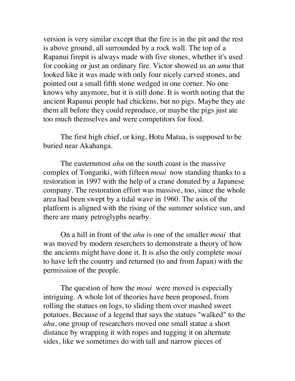version is very similar except that the fire is in the pit and the rest is above ground, all surrounded by a rock wall. The top of a Rapanui firepit is always made with five stones, whether it's used for cooking or just an ordinary fire. Victor showed us an *umu* that looked like it was made with only four nicely carved stones, and pointed out a small fifth stone wedged in one corner. No one knows why anymore, but it is still done. It is worth noting that the ancient Rapanui people had chickens, but no pigs. Maybe they ate them all before they could reproduce, or maybe the pigs just ate too much themselves and were competitors for food.

The first high chief, or king, Hotu Matua, is supposed to be buried near Akahanga.

The easternmost *ahu* on the south coast is the massive complex of Tongariki, with fifteen *moai* now standing thanks to a restoration in 1997 with the help of a crane donated by a Japanese company. The restoration effort was massive, too, since the whole area had been swept by a tidal wave in 1960. The axis of the platform is aligned with the rising of the summer solstice sun, and there are many petroglyphs nearby.

On a hill in front of the *ahu* is one of the smaller *moai* that was moved by modern reserchers to demonstrate a theory of how the ancients might have done it. It is also the only complete *moai* to have left the country and returned (to and from Japan) with the permission of the people.

The question of how the *moai* were moved is especially intriguing. A whole lot of theories have been proposed, from rolling the statues on logs, to sliding them over mashed sweet potatoes. Because of a legend that says the statues "walked" to the *ahu*, one group of researchers moved one small statue a short distance by wrapping it with ropes and tugging it on alternate sides, like we sometimes do with tall and narrow pieces of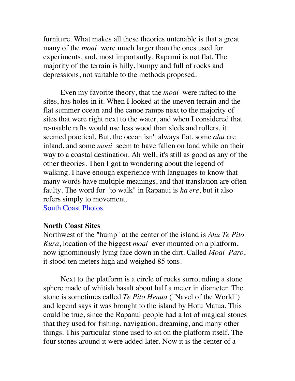furniture. What makes all these theories untenable is that a great many of the *moai* were much larger than the ones used for experiments, and, most importantly, Rapanui is not flat. The majority of the terrain is hilly, bumpy and full of rocks and depressions, not suitable to the methods proposed.

Even my favorite theory, that the *moai* were rafted to the sites, has holes in it. When I looked at the uneven terrain and the flat summer ocean and the canoe ramps next to the majority of sites that were right next to the water, and when I considered that re-usable rafts would use less wood than sleds and rollers, it seemed practical. But, the ocean isn't always flat, some *ahu* are inland, and some *moai* seem to have fallen on land while on their way to a coastal destination. Ah well, it's still as good as any of the other theories. Then I got to wondering about the legend of walking. I have enough experience with languages to know that many words have multiple meanings, and that translation are often faulty. The word for "to walk" in Rapanui is *ha'ere*, but it also refers simply to movement.

**[South Coast Photos](http://www.sergeking.com/Rapanui/southcoast.html)** 

#### **North Coast Sites**

Northwest of the "hump" at the center of the island is *Ahu Te Pito Kura*, location of the biggest *moai* ever mounted on a platform, now ignominously lying face down in the dirt. Called *Moai Paro*, it stood ten meters high and weighed 85 tons.

Next to the platform is a circle of rocks surrounding a stone sphere made of whitish basalt about half a meter in diameter. The stone is sometimes called *Te Pito Henua* ("Navel of the World") and legend says it was brought to the island by Hotu Matua. This could be true, since the Rapanui people had a lot of magical stones that they used for fishing, navigation, dreaming, and many other things. This particular stone used to sit on the platform itself. The four stones around it were added later. Now it is the center of a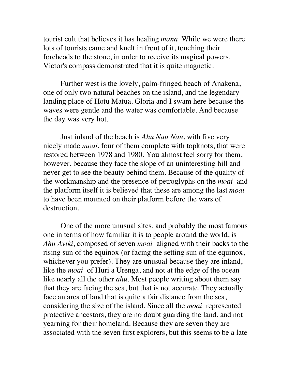tourist cult that believes it has healing *mana*. While we were there lots of tourists came and knelt in front of it, touching their foreheads to the stone, in order to receive its magical powers. Victor's compass demonstrated that it is quite magnetic.

Further west is the lovely, palm-fringed beach of Anakena, one of only two natural beaches on the island, and the legendary landing place of Hotu Matua. Gloria and I swam here because the waves were gentle and the water was comfortable. And because the day was very hot.

Just inland of the beach is *Ahu Nau Nau*, with five very nicely made *moai*, four of them complete with topknots, that were restored between 1978 and 1980. You almost feel sorry for them, however, because they face the slope of an uninteresting hill and never get to see the beauty behind them. Because of the quality of the workmanship and the presence of petroglyphs on the *moai* and the platform itself it is believed that these are among the last *moai* to have been mounted on their platform before the wars of destruction.

One of the more unusual sites, and probably the most famous one in terms of how familiar it is to people around the world, is *Ahu Aviki*, composed of seven *moai* aligned with their backs to the rising sun of the equinox (or facing the setting sun of the equinox, whichever you prefer). They are unusual because they are inland, like the *moai* of Huri a Urenga, and not at the edge of the ocean like nearly all the other *ahu*. Most people writing about them say that they are facing the sea, but that is not accurate. They actually face an area of land that is quite a fair distance from the sea, considering the size of the island. Since all the *moai* represented protective ancestors, they are no doubt guarding the land, and not yearning for their homeland. Because they are seven they are associated with the seven first explorers, but this seems to be a late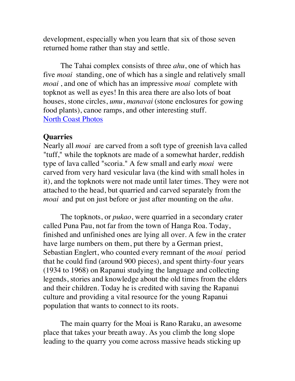development, especially when you learn that six of those seven returned home rather than stay and settle.

The Tahai complex consists of three *ahu*, one of which has five *moai* standing, one of which has a single and relatively small *moai* , and one of which has an impressive *moai* complete with topknot as well as eyes! In this area there are also lots of boat houses, stone circles, *umu*, *manavai* (stone enclosures for gowing food plants), canoe ramps, and other interesting stuff. [North Coast Photos](http://www.sergeking.com/Rapanui/northcoast.html)

#### **Quarries**

Nearly all *moai* are carved from a soft type of greenish lava called "tuff," while the topknots are made of a somewhat harder, reddish type of lava called "scoria." A few small and early *moai* were carved from very hard vesicular lava (the kind with small holes in it), and the topknots were not made until later times. They were not attached to the head, but quarried and carved separately from the *moai* and put on just before or just after mounting on the *ahu*.

The topknots, or *pukao*, were quarried in a secondary crater called Puna Pau, not far from the town of Hanga Roa. Today, finished and unfinished ones are lying all over. A few in the crater have large numbers on them, put there by a German priest, Sebastian Englert, who counted every remnant of the *moai* period that he could find (around 900 pieces), and spent thirty-four years (1934 to 1968) on Rapanui studying the language and collecting legends, stories and knowledge about the old times from the elders and their children. Today he is credited with saving the Rapanui culture and providing a vital resource for the young Rapanui population that wants to connect to its roots.

The main quarry for the Moai is Rano Raraku, an awesome place that takes your breath away. As you climb the long slope leading to the quarry you come across massive heads sticking up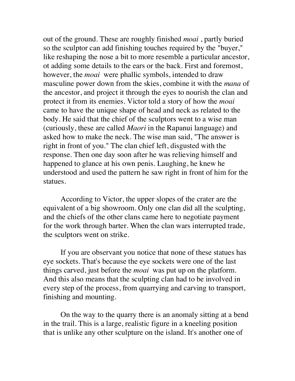out of the ground. These are roughly finished *moai* , partly buried so the sculptor can add finishing touches required by the "buyer," like reshaping the nose a bit to more resemble a particular ancestor, ot adding some details to the ears or the back. First and foremost, however, the *moai* were phallic symbols, intended to draw masculine power down from the skies, combine it with the *mana* of the ancestor, and project it through the eyes to nourish the clan and protect it from its enemies. Victor told a story of how the *moai* came to have the unique shape of head and neck as related to the body. He said that the chief of the sculptors went to a wise man (curiously, these are called *Maori* in the Rapanui language) and asked how to make the neck. The wise man said, "The answer is right in front of you." The clan chief left, disgusted with the response. Then one day soon after he was relieving himself and happened to glance at his own penis. Laughing, he knew he understood and used the pattern he saw right in front of him for the statues.

According to Victor, the upper slopes of the crater are the equivalent of a big showroom. Only one clan did all the sculpting, and the chiefs of the other clans came here to negotiate payment for the work through barter. When the clan wars interrupted trade, the sculptors went on strike.

If you are observant you notice that none of these statues has eye sockets. That's because the eye sockets were one of the last things carved, just before the *moai* was put up on the platform. And this also means that the sculpting clan had to be involved in every step of the process, from quarrying and carving to transport, finishing and mounting.

On the way to the quarry there is an anomaly sitting at a bend in the trail. This is a large, realistic figure in a kneeling position that is unlike any other sculpture on the island. It's another one of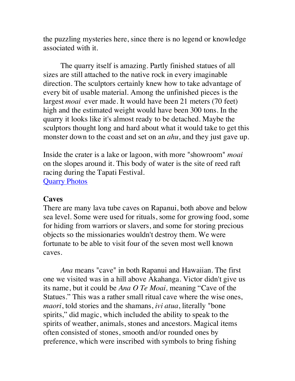the puzzling mysteries here, since there is no legend or knowledge associated with it.

The quarry itself is amazing. Partly finished statues of all sizes are still attached to the native rock in every imaginable direction. The sculptors certainly knew how to take advantage of every bit of usable material. Among the unfinished pieces is the largest *moai* ever made. It would have been 21 meters (70 feet) high and the estimated weight would have been 300 tons. In the quarry it looks like it's almost ready to be detached. Maybe the sculptors thought long and hard about what it would take to get this monster down to the coast and set on an *ahu*, and they just gave up.

Inside the crater is a lake or lagoon, with more "showroom" *moai* on the slopes around it. This body of water is the site of reed raft racing during the Tapati Festival. [Quarry Photos](http://www.sergeking.com/Rapanui/quarries.html)

#### **Caves**

There are many lava tube caves on Rapanui, both above and below sea level. Some were used for rituals, some for growing food, some for hiding from warriors or slavers, and some for storing precious objects so the missionaries wouldn't destroy them. We were fortunate to be able to visit four of the seven most well known caves.

*Ana* means "cave" in both Rapanui and Hawaiian. The first one we visited was in a hill above Akahanga. Victor didn't give us its name, but it could be *Ana O Te Moai,* meaning "Cave of the Statues." This was a rather small ritual cave where the wise ones, *maori*, told stories and the shamans, *ivi atua*, literally "bone spirits," did magic, which included the ability to speak to the spirits of weather, animals, stones and ancestors. Magical items often consisted of stones, smooth and/or rounded ones by preference, which were inscribed with symbols to bring fishing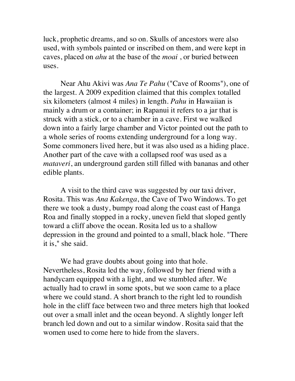luck, prophetic dreams, and so on. Skulls of ancestors were also used, with symbols painted or inscribed on them, and were kept in caves, placed on *ahu* at the base of the *moai* , or buried between uses.

Near Ahu Akivi was *Ana Te Pahu* ("Cave of Rooms"), one of the largest. A 2009 expedition claimed that this complex totalled six kilometers (almost 4 miles) in length. *Pahu* in Hawaiian is mainly a drum or a container; in Rapanui it refers to a jar that is struck with a stick, or to a chamber in a cave. First we walked down into a fairly large chamber and Victor pointed out the path to a whole series of rooms extending underground for a long way. Some commoners lived here, but it was also used as a hiding place. Another part of the cave with a collapsed roof was used as a *mataveri*, an underground garden still filled with bananas and other edible plants.

A visit to the third cave was suggested by our taxi driver, Rosita. This was *Ana Kakenga*, the Cave of Two Windows. To get there we took a dusty, bumpy road along the coast east of Hanga Roa and finally stopped in a rocky, uneven field that sloped gently toward a cliff above the ocean. Rosita led us to a shallow depression in the ground and pointed to a small, black hole. "There it is," she said.

We had grave doubts about going into that hole. Nevertheless, Rosita led the way, followed by her friend with a handycam equipped with a light, and we stumbled after. We actually had to crawl in some spots, but we soon came to a place where we could stand. A short branch to the right led to roundish hole in the cliff face between two and three meters high that looked out over a small inlet and the ocean beyond. A slightly longer left branch led down and out to a similar window. Rosita said that the women used to come here to hide from the slavers.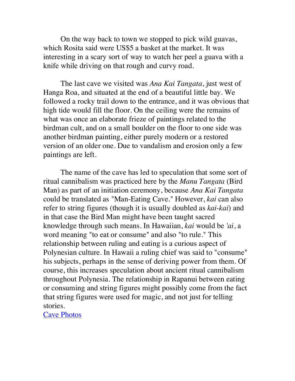On the way back to town we stopped to pick wild guavas, which Rosita said were US\$5 a basket at the market. It was interesting in a scary sort of way to watch her peel a guava with a knife while driving on that rough and curvy road.

The last cave we visited was *Ana Kai Tangata*, just west of Hanga Roa, and situated at the end of a beautiful little bay. We followed a rocky trail down to the entrance, and it was obvious that high tide would fill the floor. On the ceiling were the remains of what was once an elaborate frieze of paintings related to the birdman cult, and on a small boulder on the floor to one side was another birdman painting, either purely modern or a restored version of an older one. Due to vandalism and erosion only a few paintings are left.

The name of the cave has led to speculation that some sort of ritual cannibalism was practiced here by the *Manu Tangata* (Bird Man) as part of an initiation ceremony, because *Ana Kai Tangata* could be translated as "Man-Eating Cave." However, *kai* can also refer to string figures (though it is usually doubled as *kai-kai*) and in that case the Bird Man might have been taught sacred knowledge through such means. In Hawaiian, *kai* would be *'ai*, a word meaning "to eat or consume" and also "to rule." This relationship between ruling and eating is a curious aspect of Polynesian culture. In Hawaii a ruling chief was said to "consume" his subjects, perhaps in the sense of deriving power from them. Of course, this increases speculation about ancient ritual cannibalism throughout Polynesia. The relationship in Rapanui between eating or consuming and string figures might possibly come from the fact that string figures were used for magic, and not just for telling stories.

[Cave Photos](http://www.sergeking.com/Rapanui/caves.html)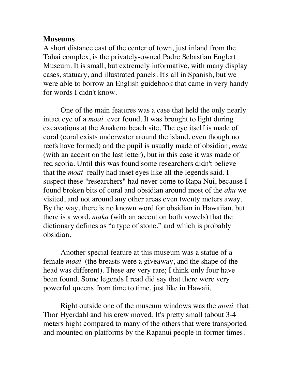#### **Museums**

A short distance east of the center of town, just inland from the Tahai complex, is the privately-owned Padre Sebastian Englert Museum. It is small, but extremely informative, with many display cases, statuary, and illustrated panels. It's all in Spanish, but we were able to borrow an English guidebook that came in very handy for words I didn't know.

One of the main features was a case that held the only nearly intact eye of a *moai* ever found. It was brought to light during excavations at the Anakena beach site. The eye itself is made of coral (coral exists underwater around the island, even though no reefs have formed) and the pupil is usually made of obsidian, *mata* (with an accent on the last letter), but in this case it was made of red scoria. Until this was found some researchers didn't believe that the *moai* really had inset eyes like all the legends said. I suspect these "researchers" had never come to Rapa Nui, because I found broken bits of coral and obsidian around most of the *ahu* we visited, and not around any other areas even twenty meters away. By the way, there is no known word for obsidian in Hawaiian, but there is a word, *maka* (with an accent on both vowels) that the dictionary defines as "a type of stone," and which is probably obsidian.

Another special feature at this museum was a statue of a female *moai* (the breasts were a giveaway, and the shape of the head was different). These are very rare; I think only four have been found. Some legends I read did say that there were very powerful queens from time to time, just like in Hawaii.

Right outside one of the museum windows was the *moai* that Thor Hyerdahl and his crew moved. It's pretty small (about 3-4 meters high) compared to many of the others that were transported and mounted on platforms by the Rapanui people in former times.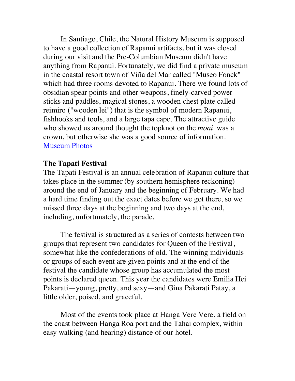In Santiago, Chile, the Natural History Museum is supposed to have a good collection of Rapanui artifacts, but it was closed during our visit and the Pre-Columbian Museum didn't have anything from Rapanui. Fortunately, we did find a private museum in the coastal resort town of Viña del Mar called "Museo Fonck" which had three rooms devoted to Rapanui. There we found lots of obsidian spear points and other weapons, finely-carved power sticks and paddles, magical stones, a wooden chest plate called reimiro ("wooden lei") that is the symbol of modern Rapanui, fishhooks and tools, and a large tapa cape. The attractive guide who showed us around thought the topknot on the *moai* was a crown, but otherwise she was a good source of information. [Museum Photo](http://www.sergeking.com/Rapanui/museums.html)s

## **The Tapati Festival**

The Tapati Festival is an annual celebration of Rapanui culture that takes place in the summer (by southern hemisphere reckoning) around the end of January and the beginning of February. We had a hard time finding out the exact dates before we got there, so we missed three days at the beginning and two days at the end, including, unfortunately, the parade.

The festival is structured as a series of contests between two groups that represent two candidates for Queen of the Festival, somewhat like the confederations of old. The winning individuals or groups of each event are given points and at the end of the festival the candidate whose group has accumulated the most points is declared queen. This year the candidates were Emilia Hei Pakarati—young, pretty, and sexy—and Gina Pakarati Patay, a little older, poised, and graceful.

Most of the events took place at Hanga Vere Vere, a field on the coast between Hanga Roa port and the Tahai complex, within easy walking (and hearing) distance of our hotel.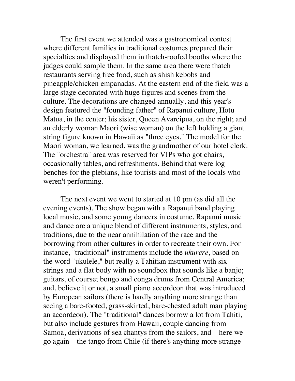The first event we attended was a gastronomical contest where different families in traditional costumes prepared their specialties and displayed them in thatch-roofed booths where the judges could sample them. In the same area there were thatch restaurants serving free food, such as shish kebobs and pineapple/chicken empanadas. At the eastern end of the field was a large stage decorated with huge figures and scenes from the culture. The decorations are changed annually, and this year's design featured the "founding father" of Rapanui culture, Hotu Matua, in the center; his sister, Queen Avareipua, on the right; and an elderly woman Maori (wise woman) on the left holding a giant string figure known in Hawaii as "three eyes." The model for the Maori woman, we learned, was the grandmother of our hotel clerk. The "orchestra" area was reserved for VIPs who got chairs, occasionally tables, and refreshments. Behind that were log benches for the plebians, like tourists and most of the locals who weren't performing.

The next event we went to started at 10 pm (as did all the evening events). The show began with a Rapanui band playing local music, and some young dancers in costume. Rapanui music and dance are a unique blend of different instruments, styles, and traditions, due to the near annihilation of the race and the borrowing from other cultures in order to recreate their own. For instance, "traditional" instruments include the *ukurere*, based on the word "ukulele," but really a Tahitian instrument with six strings and a flat body with no soundbox that sounds like a banjo; guitars, of course; bongo and conga drums from Central America; and, believe it or not, a small piano accordeon that was introduced by European sailors (there is hardly anything more strange than seeing a bare-footed, grass-skirted, bare-chested adult man playing an accordeon). The "traditional" dances borrow a lot from Tahiti, but also include gestures from Hawaii, couple dancing from Samoa, derivations of sea chantys from the sailors, and—here we go again—the tango from Chile (if there's anything more strange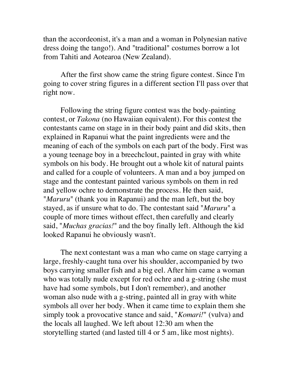than the accordeonist, it's a man and a woman in Polynesian native dress doing the tango!). And "traditional" costumes borrow a lot from Tahiti and Aotearoa (New Zealand).

After the first show came the string figure contest. Since I'm going to cover string figures in a different section I'll pass over that right now.

Following the string figure contest was the body-painting contest, or *Takona* (no Hawaiian equivalent). For this contest the contestants came on stage in in their body paint and did skits, then explained in Rapanui what the paint ingredients were and the meaning of each of the symbols on each part of the body. First was a young teenage boy in a breechclout, painted in gray with white symbols on his body. He brought out a whole kit of natural paints and called for a couple of volunteers. A man and a boy jumped on stage and the contestant painted various symbols on them in red and yellow ochre to demonstrate the process. He then said, "*Maruru*" (thank you in Rapanui) and the man left, but the boy stayed, as if unsure what to do. The contestant said "*Maruru*" a couple of more times without effect, then carefully and clearly said, "*Muchas gracias!*" and the boy finally left. Although the kid looked Rapanui he obviously wasn't.

The next contestant was a man who came on stage carrying a large, freshly-caught tuna over his shoulder, accompanied by two boys carrying smaller fish and a big eel. After him came a woman who was totally nude except for red ochre and a g-string (she must have had some symbols, but I don't remember), and another woman also nude with a g-string, painted all in gray with white symbols all over her body. When it came time to explain them she simply took a provocative stance and said, "*Komari!*" (vulva) and the locals all laughed. We left about 12:30 am when the storytelling started (and lasted till 4 or 5 am, like most nights).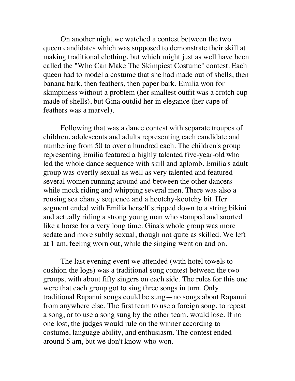On another night we watched a contest between the two queen candidates which was supposed to demonstrate their skill at making traditional clothing, but which might just as well have been called the "Who Can Make The Skimpiest Costume" contest. Each queen had to model a costume that she had made out of shells, then banana bark, then feathers, then paper bark. Emilia won for skimpiness without a problem (her smallest outfit was a crotch cup made of shells), but Gina outdid her in elegance (her cape of feathers was a marvel).

Following that was a dance contest with separate troupes of children, adolescents and adults representing each candidate and numbering from 50 to over a hundred each. The children's group representing Emilia featured a highly talented five-year-old who led the whole dance sequence with skill and aplomb. Emilia's adult group was overtly sexual as well as very talented and featured several women running around and between the other dancers while mock riding and whipping several men. There was also a rousing sea chanty sequence and a hootchy-kootchy bit. Her segment ended with Emilia herself stripped down to a string bikini and actually riding a strong young man who stamped and snorted like a horse for a very long time. Gina's whole group was more sedate and more subtly sexual, though not quite as skilled. We left at 1 am, feeling worn out, while the singing went on and on.

The last evening event we attended (with hotel towels to cushion the logs) was a traditional song contest between the two groups, with about fifty singers on each side. The rules for this one were that each group got to sing three songs in turn. Only traditional Rapanui songs could be sung—no songs about Rapanui from anywhere else. The first team to use a foreign song, to repeat a song, or to use a song sung by the other team. would lose. If no one lost, the judges would rule on the winner according to costume, language ability, and enthusiasm. The contest ended around 5 am, but we don't know who won.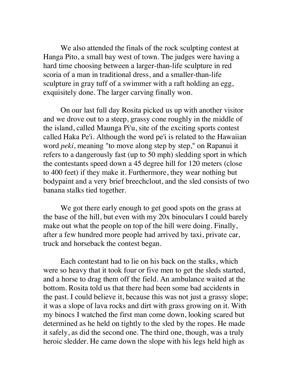We also attended the finals of the rock sculpting contest at Hanga Pito, a small bay west of town. The judges were having a hard time choosing between a larger-than-life sculpture in red scoria of a man in traditional dress, and a smaller-than-life sculpture in gray tuff of a swimmer with a raft holding an egg, exquisitely done. The larger carving finally won.

On our last full day Rosita picked us up with another visitor and we drove out to a steep, grassy cone roughly in the middle of the island, called Maunga Pi'u, site of the exciting sports contest called Haka Pe'i. Although the word pe'i is related to the Hawaiian word *peki*, meaning "to move along step by step," on Rapanui it refers to a dangerously fast (up to 50 mph) sledding sport in which the contestants speed down a 45 degree hill for 120 meters (close to 400 feet) if they make it. Furthermore, they wear nothing but bodypaint and a very brief breechclout, and the sled consists of two banana stalks tied together.

We got there early enough to get good spots on the grass at the base of the hill, but even with my 20x binoculars I could barely make out what the people on top of the hill were doing. Finally, after a few hundred more people had arrived by taxi, private car, truck and horseback the contest began.

Each contestant had to lie on his back on the stalks, which were so heavy that it took four or five men to get the sleds started, and a horse to drag them off the field. An ambulance waited at the bottom. Rosita told us that there had been some bad accidents in the past. I could believe it, because this was not just a grassy slope; it was a slope of lava rocks and dirt with grass growing on it. With my binocs I watched the first man come down, looking scared but determined as he held on tightly to the sled by the ropes. He made it safely, as did the second one. The third one, though, was a truly heroic sledder. He came down the slope with his legs held high as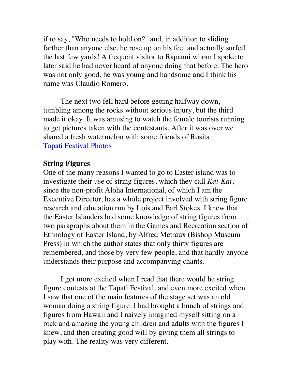if to say, "Who needs to hold on?" and, in addition to sliding farther than anyone else, he rose up on his feet and actually surfed the last few yards! A frequent visitor to Rapanui whom I spoke to later said he had never heard of anyone doing that before. The hero was not only good, he was young and handsome and I think his name was Claudio Romero.

The next two fell hard before getting halfway down, tumbling among the rocks without serious injury, but the third made it okay. It was amusing to watch the female tourists running to get pictures taken with the contestants. After it was over we shared a fresh watermelon with some friends of Rosita. [Tapati Festival Photos](http://www.sergeking.com/Rapanui/tapati.html)

# **String Figures**

One of the many reasons I wanted to go to Easter island was to investigate their use of string figures, which they call *Kai-Kai*, since the non-profit Aloha International, of which I am the Executive Director, has a whole project involved with string figure research and education run by Lois and Earl Stokes. I knew that the Easter Islanders had some knowledge of string figures from two paragraphs about them in the Games and Recreation section of Ethnology of Easter Island, by Alfred Metraux (Bishop Museum Press) in which the author states that only thirty figures are remembered, and those by very few people, and that hardly anyone understands their purpose and accompanying chants.

I got more excited when I read that there would be string figure contests at the Tapati Festival, and even more excited when I saw that one of the main features of the stage set was an old woman doing a string figure. I had brought a bunch of strings and figures from Hawaii and I naively imagined myself sitting on a rock and amazing the young children and adults with the figures I knew, and then creating good will by giving them all strings to play with. The reality was very different.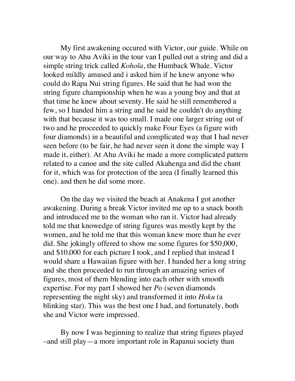My first awakening occured with Victor, our guide. While on our way to Ahu Aviki in the tour van I pulled out a string and did a simple string trick called *Kohola*, the Humback Whale. Victor looked mildly amused and i asked him if he knew anyone who could do Rapa Nui string figures. He said that he had won the string figure championship when he was a young boy and that at that time he knew about seventy. He said he still remembered a few, so I handed him a string and he said he couldn't do anything with that because it was too small. I made one larger string out of two and he proceeded to quickly make Four Eyes (a figure with four diamonds) in a beautiful and complicated way that I had never seen before (to be fair, he had never seen it done the simple way I made it, either). At Ahu Aviki he made a more complicated pattern related to a canoe and the site called Akahenga and did the chant for it, which was for protection of the area (I finally learned this one). and then he did some more.

On the day we visited the beach at Anakena I got another awakening. During a break Victor invited me up to a snack booth and introduced me to the woman who ran it. Victor had already told me that knowedge of string figures was mostly kept by the women, and he told me that this woman knew more than he ever did. She jokingly offered to show me some figures for \$50,000, and \$10,000 for each picture I took, and I replied that instead I would share a Hawaiian figure with her. I handed her a long string and she then proceeded to run through an amazing series of figures, most of them blending into each other with smooth expertise. For my part I showed her *Po* (seven diamonds representing the night sky) and transformed it into *Hoku* (a blinking star). This was the best one I had, and fortunately, both she and Victor were impressed.

By now I was beginning to realize that string figures played –and still play—a more important role in Rapanui society than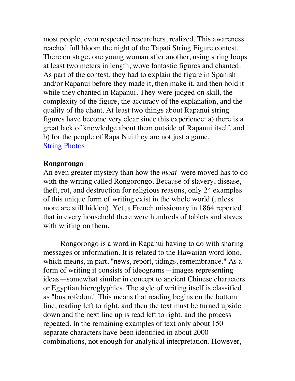most people, even respected researchers, realized. This awareness reached full bloom the night of the Tapati String Figure contest. There on stage, one young woman after another, using string loops at least two meters in length, wove fantastic figures and chanted. As part of the contest, they had to explain the figure in Spanish and/or Rapanui before they made it, then make it, and then hold it while they chanted in Rapanui. They were judged on skill, the complexity of the figure, the accuracy of the explanation, and the quality of the chant. At least two things about Rapanui string figures have become very clear since this experience: a) there is a great lack of knowledge about them outside of Rapanui itself, and b) for the people of Rapa Nui they are not just a game. **[String Photos](http://www.sergeking.com/Rapanui/strings.html)** 

### **Rongorongo**

An even greater mystery than how the *moai* were moved has to do with the writing called Rongorongo. Because of slavery, disease, theft, rot, and destruction for religious reasons, only 24 examples of this unique form of writing exist in the whole world (unless more are still hidden). Yet, a French missionary in 1864 reported that in every household there were hundreds of tablets and staves with writing on them.

Rongorongo is a word in Rapanui having to do with sharing messages or information. It is related to the Hawaiian word lono, which means, in part, "news, report, tidings, remembrance." As a form of writing it consists of ideograms—images representing ideas—somewhat similar in concept to ancient Chinese characters or Egyptian hieroglyphics. The style of writing itself is classified as "bustrofedon." This means that reading begins on the bottom line, reading left to right, and then the text must be turned upside down and the next line up is read left to right, and the process repeated. In the remaining examples of text only about 150 separate characters have been identified in about 2000 combinations, not enough for analytical interpretation. However,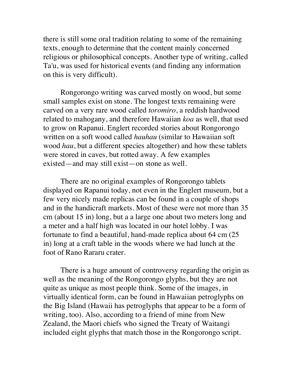there is still some oral tradition relating to some of the remaining texts, enough to determine that the content mainly concerned religious or philosophical concepts. Another type of writing, called Ta'u, was used for historical events (and finding any information on this is very difficult).

Rongorongo writing was carved mostly on wood, but some small samples exist on stone. The longest texts remaining were carved on a very rare wood called *toromiro*, a reddish hardwood related to mahogany, and therefore Hawaiian *koa* as well, that used to grow on Rapanui. Englert recorded stories about Rongorongo written on a soft wood called *hauhau* (similar to Hawaiian soft wood *hau*, but a different species altogether) and how these tablets were stored in caves, but rotted away. A few examples existed—and may still exist—on stone as well.

There are no original examples of Rongorongo tablets displayed on Rapanui today, not even in the Englert museum, but a few very nicely made replicas can be found in a couple of shops and in the handicraft markets. Most of these were not more than 35 cm (about 15 in) long, but a a large one about two meters long and a meter and a half high was located in our hotel lobby. I was fortunate to find a beautiful, hand-made replica about 64 cm (25 in) long at a craft table in the woods where we had lunch at the foot of Rano Rararu crater.

There is a huge amount of controversy regarding the origin as well as the meaning of the Rongorongo glyphs, but they are not quite as unique as most people think. Some of the images, in virtually identical form, can be found in Hawaiian petroglyphs on the Big Island (Hawaii has petroglyphs that appear to be a form of writing, too). Also, according to a friend of mine from New Zealand, the Maori chiefs who signed the Treaty of Waitangi included eight glyphs that match those in the Rongorongo script.